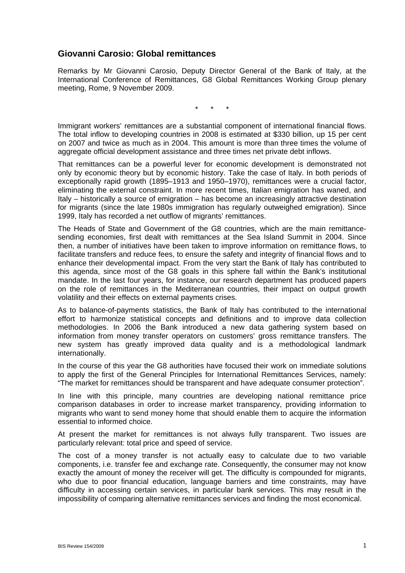## **Giovanni Carosio: Global remittances**

Remarks by Mr Giovanni Carosio, Deputy Director General of the Bank of Italy, at the International Conference of Remittances, G8 Global Remittances Working Group plenary meeting, Rome, 9 November 2009.

\* \* \*

Immigrant workers' remittances are a substantial component of international financial flows. The total inflow to developing countries in 2008 is estimated at \$330 billion, up 15 per cent on 2007 and twice as much as in 2004. This amount is more than three times the volume of aggregate official development assistance and three times net private debt inflows.

That remittances can be a powerful lever for economic development is demonstrated not only by economic theory but by economic history. Take the case of Italy. In both periods of exceptionally rapid growth (1895–1913 and 1950–1970), remittances were a crucial factor, eliminating the external constraint. In more recent times, Italian emigration has waned, and Italy – historically a source of emigration – has become an increasingly attractive destination for migrants (since the late 1980s immigration has regularly outweighed emigration). Since 1999, Italy has recorded a net outflow of migrants' remittances.

The Heads of State and Government of the G8 countries, which are the main remittancesending economies, first dealt with remittances at the Sea Island Summit in 2004. Since then, a number of initiatives have been taken to improve information on remittance flows, to facilitate transfers and reduce fees, to ensure the safety and integrity of financial flows and to enhance their developmental impact. From the very start the Bank of Italy has contributed to this agenda, since most of the G8 goals in this sphere fall within the Bank's institutional mandate. In the last four years, for instance, our research department has produced papers on the role of remittances in the Mediterranean countries, their impact on output growth volatility and their effects on external payments crises.

As to balance-of-payments statistics, the Bank of Italy has contributed to the international effort to harmonize statistical concepts and definitions and to improve data collection methodologies. In 2006 the Bank introduced a new data gathering system based on information from money transfer operators on customers' gross remittance transfers. The new system has greatly improved data quality and is a methodological landmark internationally.

In the course of this year the G8 authorities have focused their work on immediate solutions to apply the first of the General Principles for International Remittances Services, namely: "The market for remittances should be transparent and have adequate consumer protection".

In line with this principle, many countries are developing national remittance price comparison databases in order to increase market transparency, providing information to migrants who want to send money home that should enable them to acquire the information essential to informed choice.

At present the market for remittances is not always fully transparent. Two issues are particularly relevant: total price and speed of service.

The cost of a money transfer is not actually easy to calculate due to two variable components, i.e. transfer fee and exchange rate. Consequently, the consumer may not know exactly the amount of money the receiver will get. The difficulty is compounded for migrants, who due to poor financial education, language barriers and time constraints, may have difficulty in accessing certain services, in particular bank services. This may result in the impossibility of comparing alternative remittances services and finding the most economical.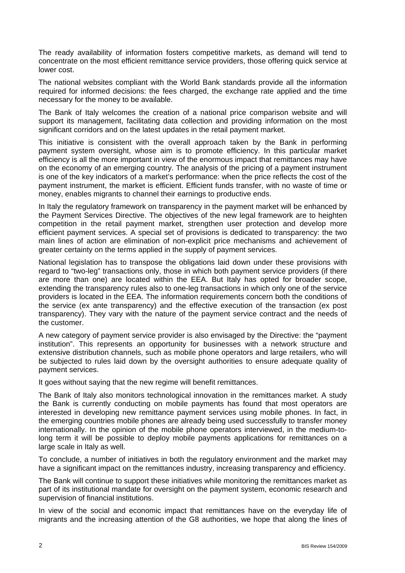The ready availability of information fosters competitive markets, as demand will tend to concentrate on the most efficient remittance service providers, those offering quick service at lower cost.

The national websites compliant with the World Bank standards provide all the information required for informed decisions: the fees charged, the exchange rate applied and the time necessary for the money to be available.

The Bank of Italy welcomes the creation of a national price comparison website and will support its management, facilitating data collection and providing information on the most significant corridors and on the latest updates in the retail payment market.

This initiative is consistent with the overall approach taken by the Bank in performing payment system oversight, whose aim is to promote efficiency. In this particular market efficiency is all the more important in view of the enormous impact that remittances may have on the economy of an emerging country. The analysis of the pricing of a payment instrument is one of the key indicators of a market's performance: when the price reflects the cost of the payment instrument, the market is efficient. Efficient funds transfer, with no waste of time or money, enables migrants to channel their earnings to productive ends.

In Italy the regulatory framework on transparency in the payment market will be enhanced by the Payment Services Directive. The objectives of the new legal framework are to heighten competition in the retail payment market, strengthen user protection and develop more efficient payment services. A special set of provisions is dedicated to transparency: the two main lines of action are elimination of non-explicit price mechanisms and achievement of greater certainty on the terms applied in the supply of payment services.

National legislation has to transpose the obligations laid down under these provisions with regard to "two-leg" transactions only, those in which both payment service providers (if there are more than one) are located within the EEA. But Italy has opted for broader scope, extending the transparency rules also to one-leg transactions in which only one of the service providers is located in the EEA. The information requirements concern both the conditions of the service (ex ante transparency) and the effective execution of the transaction (ex post transparency). They vary with the nature of the payment service contract and the needs of the customer.

A new category of payment service provider is also envisaged by the Directive: the "payment institution". This represents an opportunity for businesses with a network structure and extensive distribution channels, such as mobile phone operators and large retailers, who will be subjected to rules laid down by the oversight authorities to ensure adequate quality of payment services.

It goes without saying that the new regime will benefit remittances.

The Bank of Italy also monitors technological innovation in the remittances market. A study the Bank is currently conducting on mobile payments has found that most operators are interested in developing new remittance payment services using mobile phones. In fact, in the emerging countries mobile phones are already being used successfully to transfer money internationally. In the opinion of the mobile phone operators interviewed, in the medium-tolong term it will be possible to deploy mobile payments applications for remittances on a large scale in Italy as well.

To conclude, a number of initiatives in both the regulatory environment and the market may have a significant impact on the remittances industry, increasing transparency and efficiency.

The Bank will continue to support these initiatives while monitoring the remittances market as part of its institutional mandate for oversight on the payment system, economic research and supervision of financial institutions.

In view of the social and economic impact that remittances have on the everyday life of migrants and the increasing attention of the G8 authorities, we hope that along the lines of